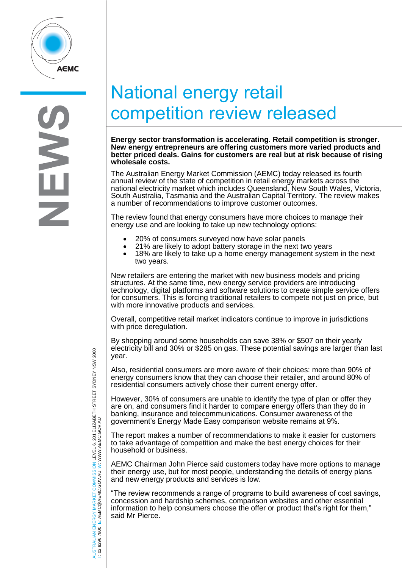

## National energy retail competition review released

**Energy sector transformation is accelerating. Retail competition is stronger. New energy entrepreneurs are offering customers more varied products and better priced deals. Gains for customers are real but at risk because of rising wholesale costs.**

The Australian Energy Market Commission (AEMC) today released its fourth The Australian Energy Market Commission (AEMC) today released its fourth<br>annual review of the state of competition in retail energy markets across the<br>national electricity market which includes Queensland, Naw Sauth Walse, national electricity market which includes Queensland, New South Wales, Victoria, South Australia, Tasmania and the Australian Capital Territory. The review makes a number of recommendations to improve customer outcomes.

The review found that energy consumers have more choices to manage their energy use and are looking to take up new technology options:

- 20% of consumers surveyed now have solar panels<br>• 21% are likely to adopt battery storage in the next ty
- 21% are likely to adopt battery storage in the next two years<br>• 18% are likely to take up a home energy management syste
- 18% are likely to take up a home energy management system in the next two years.

New retailers are entering the market with new business models and pricing structures. At the same time, new energy service providers are introducing technology, digital platforms and software solutions to create simple service offers for consumers. This is forcing traditional retailers to compete not just on price, but with more innovative products and services.

Overall, competitive retail market indicators continue to improve in jurisdictions with price deregulation.

By shopping around some households can save 38% or \$507 on their yearly electricity bill and 30% or \$285 on gas. These potential savings are larger than last year.

Also, residential consumers are more aware of their choices: more than 90% of energy consumers know that they can choose their retailer, and around 80% of residential consumers actively chose their current energy offer.

However, 30% of consumers are unable to identify the type of plan or offer they are on, and consumers find it harder to compare energy offers than they do in banking, insurance and telecommunications. Consumer awareness of the government's Energy Made Easy comparison website remains at 9%.

The report makes a number of recommendations to make it easier for customers to take advantage of competition and make the best energy choices for their household or business.

AEMC Chairman John Pierce said customers today have more options to manage their energy use, but for most people, understanding the details of energy plans and new energy products and services is low.

"The review recommends a range of programs to build awareness of cost savings, concession and hardship schemes, comparison websites and other essential information to help consumers choose the offer or product that's right for them," said Mr Pierce.

AUSTRALIAN ENERGY MARKET COMMISSION LEVEL 6, 201 ELIZABETH STREET SYDNEY NSW 2000 AUSTRALIAN ENERGY MARKET COMMISSION LEVEL 6, 201 ELIZABETH STREET SYDNEY NSW 2000<br>T: 02 8296 7800 E: AEMC@AEMC.GOV.AU W: WWW.AEMC.GOV.AU W: WWW.AEMC.GOV.AU T: 02 8296 7800 E: AEMC@AEMC.GOV.AU